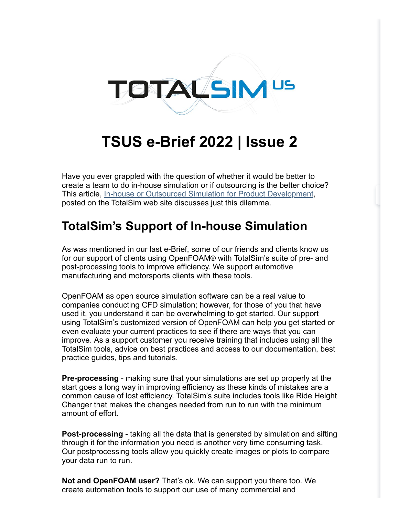

## **TSUS e-Brief 2022 | Issue 2**

Have you ever grappled with the question of whether it would be better to create a team to do in-house simulation or if outsourcing is the better choice? This article, [In-house or Outsourced Simulation for Product Development](https://www.totalsim.us/in-house-or-outsourced-simulation-for-product-development/), posted on the TotalSim web site discusses just this dilemma.

## **TotalSim's Support of In-house Simulation**

As was mentioned in our last e-Brief, some of our friends and clients know us for our support of clients using OpenFOAM® with TotalSim's suite of pre- and post-processing tools to improve efficiency. We support automotive manufacturing and motorsports clients with these tools.

OpenFOAM as open source simulation software can be a real value to companies conducting CFD simulation; however, for those of you that have used it, you understand it can be overwhelming to get started. Our support using TotalSim's customized version of OpenFOAM can help you get started or even evaluate your current practices to see if there are ways that you can improve. As a support customer you receive training that includes using all the TotalSim tools, advice on best practices and access to our documentation, best practice guides, tips and tutorials.

**Pre-processing** - making sure that your simulations are set up properly at the start goes a long way in improving efficiency as these kinds of mistakes are a common cause of lost efficiency. TotalSim's suite includes tools like Ride Height Changer that makes the changes needed from run to run with the minimum amount of effort.

**Post-processing** - taking all the data that is generated by simulation and sifting through it for the information you need is another very time consuming task. Our postprocessing tools allow you quickly create images or plots to compare your data run to run.

**Not and OpenFOAM user?** That's ok. We can support you there too. We create automation tools to support our use of many commercial and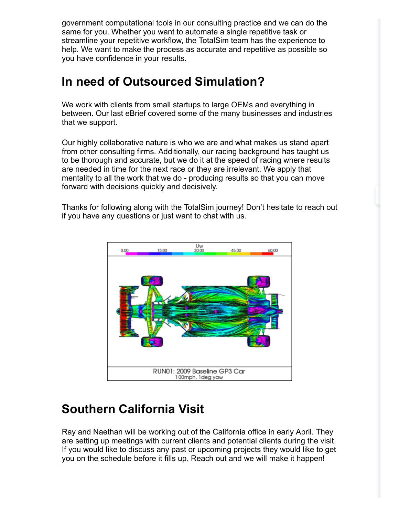government computational tools in our consulting practice and we can do the same for you. Whether you want to automate a single repetitive task or streamline your repetitive workflow, the TotalSim team has the experience to help. We want to make the process as accurate and repetitive as possible so you have confidence in your results.

## **In need of Outsourced Simulation?**

We work with clients from small startups to large OEMs and everything in between. Our last eBrief covered some of the many businesses and industries that we support.

Our highly collaborative nature is who we are and what makes us stand apart from other consulting firms. Additionally, our racing background has taught us to be thorough and accurate, but we do it at the speed of racing where results are needed in time for the next race or they are irrelevant. We apply that mentality to all the work that we do - producing results so that you can move forward with decisions quickly and decisively.

Thanks for following along with the TotalSim journey! Don't hesitate to reach out if you have any questions or just want to chat with us.



## **Southern California Visit**

Ray and Naethan will be working out of the California office in early April. They are setting up meetings with current clients and potential clients during the visit. If you would like to discuss any past or upcoming projects they would like to get you on the schedule before it fills up. Reach out and we will make it happen!